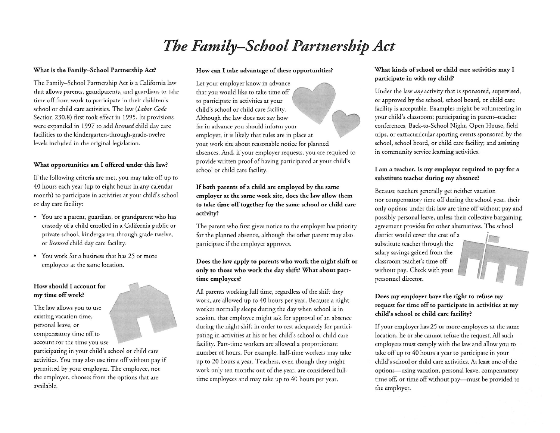# *The Family— School Partnership Act*

#### **What is the Family-School Partnership Act?**

The Family-School Partnership Act is <sup>a</sup> California law that allows parents, grandparents, and guardians to take time off from work to participate in their children's school or child care activities. The law *( Labor Code* Section 230.8) First took effect in 1995. Its provisions were expanded in 1997 to add *licensed* child day care facilities to the kindergarten-through-grade-twelve levels included in the original legislation.

### **What opportunities am I offered under this law?**

If the following criteria are met, you may take off up to 40 hours each year (up to eight hours in any calendar month) to participate in activities at your child's school or day care facility:

- You are a parent, guardian, or grandparent who has custody of a child enrolled in a California public or private school, kindergarten through grade twelve, or *licensed* child day care facility.
- You work for a business that has 25 or more employees at the same location.

### **How should I account for my time off work?**

The law allows you to use existing vacation time, personal leave, or compensatory time off to account for the time you use participating in your child's school or child care activities. You may also use time off without pay if permitted by your employer. The employee, not the employer, chooses from the options that are available.

#### **How can I take advantage of these opportunities?**

Let your employer know in advance that you would like to take time off to participate in activities at your child's school or child care facility. Although the law does not say how far in advance you should inform your employer, it is likely that rules are in place at your work site about reasonable notice for planned absences. And, if your employer requests, you are required to provide written proof of having participated at your child's school or child care facility.

# **If both parents of a child are employed by the same employer at the same work site, does the law allow them to take time off together for the same school or child care activity?**

The parent who first gives notice to the employer has priority for the planned absence, although the other parent may also participate if the employer approves.

# **Does the law apply to parents who work the night shift or only to those who work the day shift? What about parttime employees?**

All parents working full time, regardless of the shift they work, arc allowed up to 40 hours per year. Because a night worker normally sleeps during the day when school is in session, that employee might ask for approval of an absence during the night shift in order to rest adequately for participating in activities at his or her child's school or child care facility. Part-time workers are allowed a proportionate number of hours. For example, half-time workers may take up to 20 hours a year. Teachers, even though they might work only ten months out of the year, are considered fulltime employees and may take up to 40 hours per year.

#### **What kinds ofschool or child care activities may I participate in with my child?**

Under the law *any* activity that is sponsored, supervised, or approved by the school, school board, or child care facility is acceptable. Examples might be volunteering in your child's classroom; participating in parent— teacher conferences, Back-to-School Night, Open House, Field trips, or extracurricular sporting events sponsored by the school, school board, or child care facility; and assisting in community service learning activities.

# **I am a teacher. Is my employer required to pay for a substitute teacher during my absence?**

Because teachers generally get neither vacation nor compensatory time off during the school year, their only options under this law are time off without pay and possibly personal leave, unless their collective bargaining agreement provides for other alternatives. The school

district would cover the cost of a substitute teacher through the salary savings gained from the classroom teacher's time off without pay. Check with your personnel director.



# **Does my employer have the right to refuse my request for time off to participate in activities at my child's school or child care facility?**

If your employer has 25 or more employees at the same location, he or she cannot refuse the request. All such employers must comply with the law and allow you to take off up to 40 hours a year to participate in your child's school or child care activities. At least one of the options— using vacation, personal leave, compensatory time off, or time off without pay— must be provided to the employer.